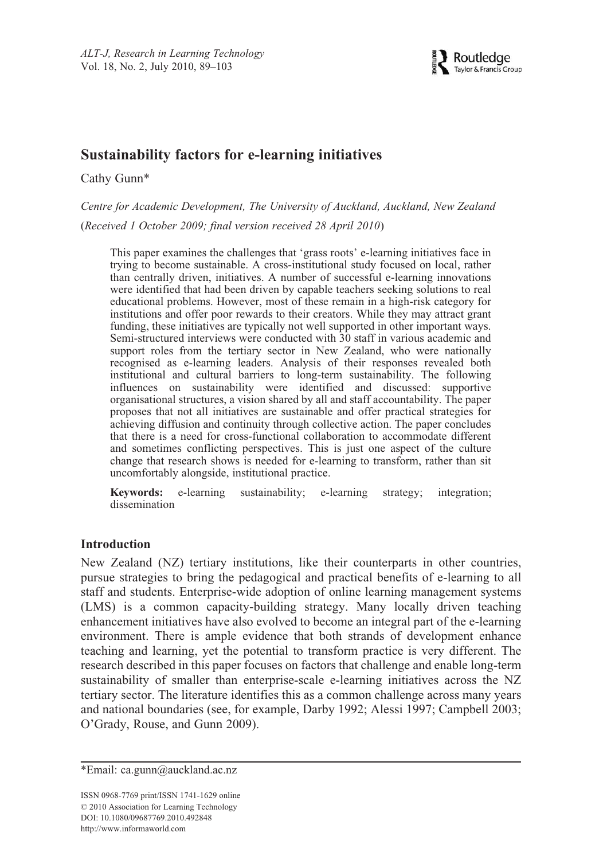# **Sustainability factors for e-learning initiatives**

Cathy Gunn\*

*Centre for Academic Development, The University of Auckland, Auckland, New Zealand*

(*Received 1 October 2009; final version received 28 April 2010*)

This paper examines the challenges that 'grass roots' e-learning initiatives face in trying to become sustainable. A cross-institutional study focused on local, rather than centrally driven, initiatives. A number of successful e-learning innovations were identified that had been driven by capable teachers seeking solutions to real educational problems. However, most of these remain in a high-risk category for institutions and offer poor rewards to their creators. While they may attract grant funding, these initiatives are typically not well supported in other important ways. Semi-structured interviews were conducted with 30 staff in various academic and support roles from the tertiary sector in New Zealand, who were nationally recognised as e-learning leaders. Analysis of their responses revealed both institutional and cultural barriers to long-term sustainability. The following influences on sustainability were identified and discussed: supportive organisational structures, a vision shared by all and staff accountability. The paper proposes that not all initiatives are sustainable and offer practical strategies for achieving diffusion and continuity through collective action. The paper concludes that there is a need for cross-functional collaboration to accommodate different and sometimes conflicting perspectives. This is just one aspect of the culture change that research shows is needed for e-learning to transform, rather than sit uncomfortably alongside, institutional practice.

**Keywords:** e-learning sustainability; e-learning strategy; integration; dissemination

# **Introduction**

New Zealand (NZ) tertiary institutions, like their counterparts in other countries, pursue strategies to bring the pedagogical and practical benefits of e-learning to all staff and students. Enterprise-wide adoption of online learning management systems (LMS) is a common capacity-building strategy. Many locally driven teaching enhancement initiatives have also evolved to become an integral part of the e-learning environment. There is ample evidence that both strands of development enhance teaching and learning, yet the potential to transform practice is very different. The research described in this paper focuses on factors that challenge and enable long-term sustainability of smaller than enterprise-scale e-learning initiatives across the NZ tertiary sector. The literature identifies this as a common challenge across many years and national boundaries (see, for example, Darby 1992; Alessi 1997; Campbell 2003; O'Grady, Rouse, and Gunn 2009).

<sup>\*</sup>Email: ca.gunn@auckland.ac.nz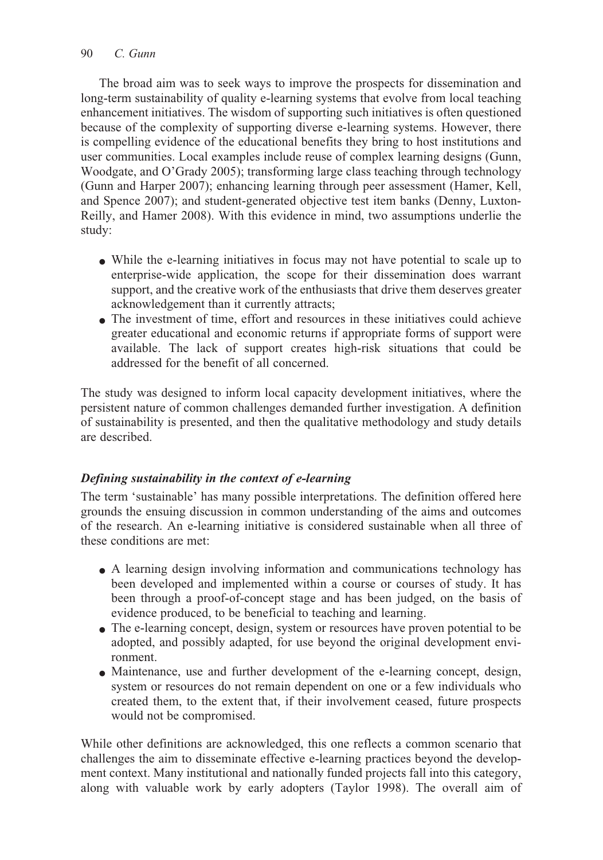The broad aim was to seek ways to improve the prospects for dissemination and long-term sustainability of quality e-learning systems that evolve from local teaching enhancement initiatives. The wisdom of supporting such initiatives is often questioned because of the complexity of supporting diverse e-learning systems. However, there is compelling evidence of the educational benefits they bring to host institutions and user communities. Local examples include reuse of complex learning designs (Gunn, Woodgate, and O'Grady 2005); transforming large class teaching through technology (Gunn and Harper 2007); enhancing learning through peer assessment (Hamer, Kell, and Spence 2007); and student-generated objective test item banks (Denny, Luxton-Reilly, and Hamer 2008). With this evidence in mind, two assumptions underlie the study:

- While the e-learning initiatives in focus may not have potential to scale up to enterprise-wide application, the scope for their dissemination does warrant support, and the creative work of the enthusiasts that drive them deserves greater acknowledgement than it currently attracts;
- The investment of time, effort and resources in these initiatives could achieve greater educational and economic returns if appropriate forms of support were available. The lack of support creates high-risk situations that could be addressed for the benefit of all concerned.

The study was designed to inform local capacity development initiatives, where the persistent nature of common challenges demanded further investigation. A definition of sustainability is presented, and then the qualitative methodology and study details are described.

# *Defining sustainability in the context of e-learning*

The term 'sustainable' has many possible interpretations. The definition offered here grounds the ensuing discussion in common understanding of the aims and outcomes of the research. An e-learning initiative is considered sustainable when all three of these conditions are met:

- A learning design involving information and communications technology has been developed and implemented within a course or courses of study. It has been through a proof-of-concept stage and has been judged, on the basis of evidence produced, to be beneficial to teaching and learning.
- The e-learning concept, design, system or resources have proven potential to be adopted, and possibly adapted, for use beyond the original development environment.
- Maintenance, use and further development of the e-learning concept, design, system or resources do not remain dependent on one or a few individuals who created them, to the extent that, if their involvement ceased, future prospects would not be compromised.

While other definitions are acknowledged, this one reflects a common scenario that challenges the aim to disseminate effective e-learning practices beyond the development context. Many institutional and nationally funded projects fall into this category, along with valuable work by early adopters (Taylor 1998). The overall aim of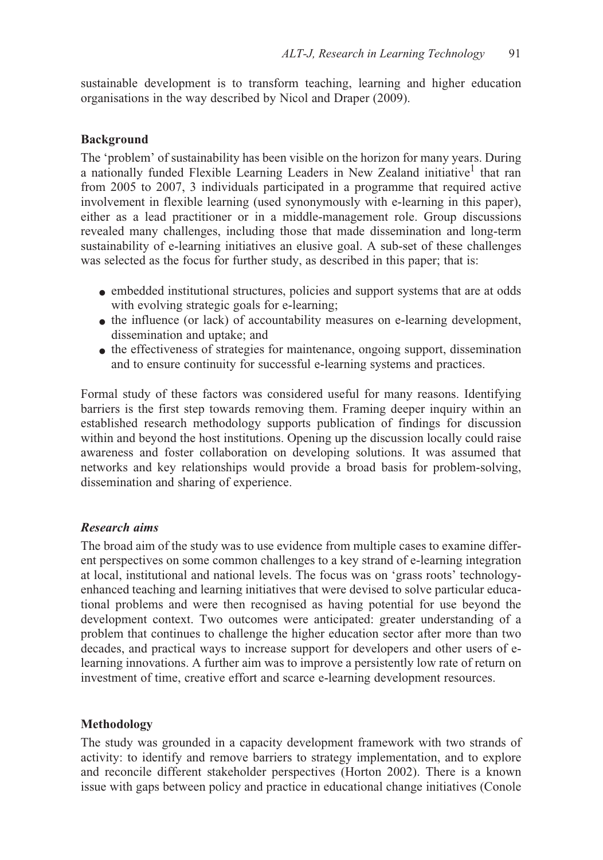sustainable development is to transform teaching, learning and higher education organisations in the way described by Nicol and Draper (2009).

### **Background**

The 'problem' of sustainability has been visible on the horizon for many years. During a nationally funded Flexible Learning Leaders in New Zealand initiative<sup>1</sup> that ran from 2005 to 2007, 3 individuals participated in a programme that required active involvement in flexible learning (used synonymously with e-learning in this paper), either as a lead practitioner or in a middle-management role. Group discussions revealed many challenges, including those that made dissemination and long-term sustainability of e-learning initiatives an elusive goal. A sub-set of these challenges was selected as the focus for further study, as described in this paper; that is:

- embedded institutional structures, policies and support systems that are at odds with evolving strategic goals for e-learning;
- the influence (or lack) of accountability measures on e-learning development, dissemination and uptake; and
- the effectiveness of strategies for maintenance, ongoing support, dissemination and to ensure continuity for successful e-learning systems and practices.

Formal study of these factors was considered useful for many reasons. Identifying barriers is the first step towards removing them. Framing deeper inquiry within an established research methodology supports publication of findings for discussion within and beyond the host institutions. Opening up the discussion locally could raise awareness and foster collaboration on developing solutions. It was assumed that networks and key relationships would provide a broad basis for problem-solving, dissemination and sharing of experience.

### *Research aims*

The broad aim of the study was to use evidence from multiple cases to examine different perspectives on some common challenges to a key strand of e-learning integration at local, institutional and national levels. The focus was on 'grass roots' technologyenhanced teaching and learning initiatives that were devised to solve particular educational problems and were then recognised as having potential for use beyond the development context. Two outcomes were anticipated: greater understanding of a problem that continues to challenge the higher education sector after more than two decades, and practical ways to increase support for developers and other users of elearning innovations. A further aim was to improve a persistently low rate of return on investment of time, creative effort and scarce e-learning development resources.

# **Methodology**

The study was grounded in a capacity development framework with two strands of activity: to identify and remove barriers to strategy implementation, and to explore and reconcile different stakeholder perspectives (Horton 2002). There is a known issue with gaps between policy and practice in educational change initiatives (Conole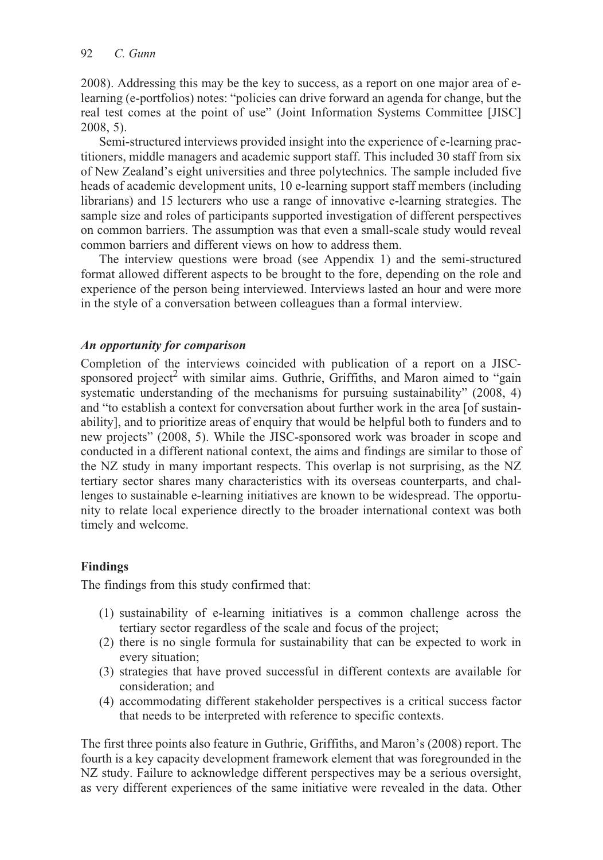2008). Addressing this may be the key to success, as a report on one major area of elearning (e-portfolios) notes: "policies can drive forward an agenda for change, but the real test comes at the point of use" (Joint Information Systems Committee [JISC] 2008, 5).

Semi-structured interviews provided insight into the experience of e-learning practitioners, middle managers and academic support staff. This included 30 staff from six of New Zealand's eight universities and three polytechnics. The sample included five heads of academic development units, 10 e-learning support staff members (including librarians) and 15 lecturers who use a range of innovative e-learning strategies. The sample size and roles of participants supported investigation of different perspectives on common barriers. The assumption was that even a small-scale study would reveal common barriers and different views on how to address them.

The interview questions were broad (see Appendix 1) and the semi-structured format allowed different aspects to be brought to the fore, depending on the role and experience of the person being interviewed. Interviews lasted an hour and were more in the style of a conversation between colleagues than a formal interview.

# *An opportunity for comparison*

Completion of the interviews coincided with publication of a report on a JISCsponsored project<sup>2</sup> with similar aims. Guthrie, Griffiths, and Maron aimed to "gain systematic understanding of the mechanisms for pursuing sustainability" (2008, 4) and "to establish a context for conversation about further work in the area [of sustainability], and to prioritize areas of enquiry that would be helpful both to funders and to new projects" (2008, 5). While the JISC-sponsored work was broader in scope and conducted in a different national context, the aims and findings are similar to those of the NZ study in many important respects. This overlap is not surprising, as the NZ tertiary sector shares many characteristics with its overseas counterparts, and challenges to sustainable e-learning initiatives are known to be widespread. The opportunity to relate local experience directly to the broader international context was both timely and welcome.

# **Findings**

The findings from this study confirmed that:

- (1) sustainability of e-learning initiatives is a common challenge across the tertiary sector regardless of the scale and focus of the project;
- (2) there is no single formula for sustainability that can be expected to work in every situation;
- (3) strategies that have proved successful in different contexts are available for consideration; and
- (4) accommodating different stakeholder perspectives is a critical success factor that needs to be interpreted with reference to specific contexts.

The first three points also feature in Guthrie, Griffiths, and Maron's (2008) report. The fourth is a key capacity development framework element that was foregrounded in the NZ study. Failure to acknowledge different perspectives may be a serious oversight, as very different experiences of the same initiative were revealed in the data. Other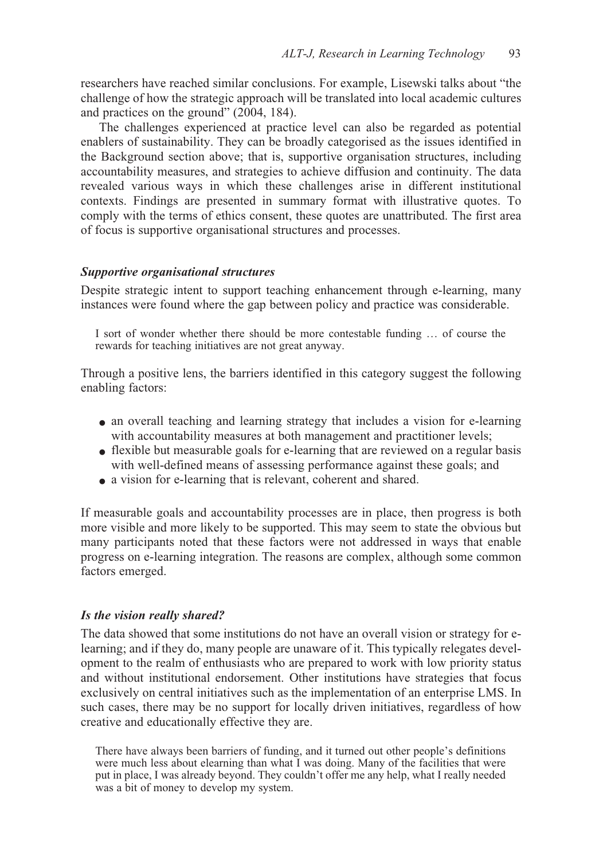researchers have reached similar conclusions. For example, Lisewski talks about "the challenge of how the strategic approach will be translated into local academic cultures and practices on the ground" (2004, 184).

The challenges experienced at practice level can also be regarded as potential enablers of sustainability. They can be broadly categorised as the issues identified in the Background section above; that is, supportive organisation structures, including accountability measures, and strategies to achieve diffusion and continuity. The data revealed various ways in which these challenges arise in different institutional contexts. Findings are presented in summary format with illustrative quotes. To comply with the terms of ethics consent, these quotes are unattributed. The first area of focus is supportive organisational structures and processes.

#### *Supportive organisational structures*

Despite strategic intent to support teaching enhancement through e-learning, many instances were found where the gap between policy and practice was considerable.

I sort of wonder whether there should be more contestable funding … of course the rewards for teaching initiatives are not great anyway.

Through a positive lens, the barriers identified in this category suggest the following enabling factors:

- an overall teaching and learning strategy that includes a vision for e-learning with accountability measures at both management and practitioner levels;
- flexible but measurable goals for e-learning that are reviewed on a regular basis with well-defined means of assessing performance against these goals; and
- a vision for e-learning that is relevant, coherent and shared.

If measurable goals and accountability processes are in place, then progress is both more visible and more likely to be supported. This may seem to state the obvious but many participants noted that these factors were not addressed in ways that enable progress on e-learning integration. The reasons are complex, although some common factors emerged.

#### *Is the vision really shared?*

The data showed that some institutions do not have an overall vision or strategy for elearning; and if they do, many people are unaware of it. This typically relegates development to the realm of enthusiasts who are prepared to work with low priority status and without institutional endorsement. Other institutions have strategies that focus exclusively on central initiatives such as the implementation of an enterprise LMS. In such cases, there may be no support for locally driven initiatives, regardless of how creative and educationally effective they are.

There have always been barriers of funding, and it turned out other people's definitions were much less about elearning than what I was doing. Many of the facilities that were put in place, I was already beyond. They couldn't offer me any help, what I really needed was a bit of money to develop my system.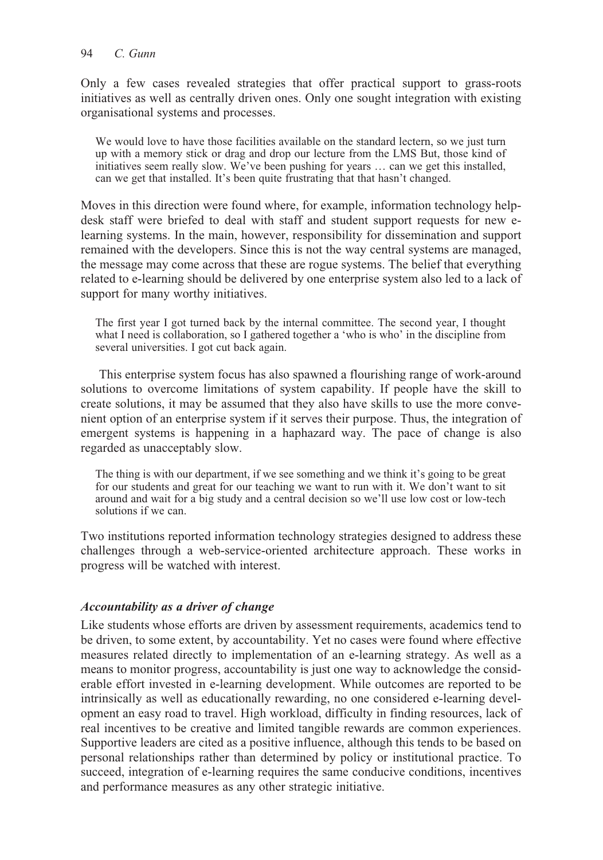Only a few cases revealed strategies that offer practical support to grass-roots initiatives as well as centrally driven ones. Only one sought integration with existing organisational systems and processes.

We would love to have those facilities available on the standard lectern, so we just turn up with a memory stick or drag and drop our lecture from the LMS But, those kind of initiatives seem really slow. We've been pushing for years … can we get this installed, can we get that installed. It's been quite frustrating that that hasn't changed.

Moves in this direction were found where, for example, information technology helpdesk staff were briefed to deal with staff and student support requests for new elearning systems. In the main, however, responsibility for dissemination and support remained with the developers. Since this is not the way central systems are managed, the message may come across that these are rogue systems. The belief that everything related to e-learning should be delivered by one enterprise system also led to a lack of support for many worthy initiatives.

The first year I got turned back by the internal committee. The second year, I thought what I need is collaboration, so I gathered together a 'who is who' in the discipline from several universities. I got cut back again.

This enterprise system focus has also spawned a flourishing range of work-around solutions to overcome limitations of system capability. If people have the skill to create solutions, it may be assumed that they also have skills to use the more convenient option of an enterprise system if it serves their purpose. Thus, the integration of emergent systems is happening in a haphazard way. The pace of change is also regarded as unacceptably slow.

The thing is with our department, if we see something and we think it's going to be great for our students and great for our teaching we want to run with it. We don't want to sit around and wait for a big study and a central decision so we'll use low cost or low-tech solutions if we can.

Two institutions reported information technology strategies designed to address these challenges through a web-service-oriented architecture approach. These works in progress will be watched with interest.

# *Accountability as a driver of change*

Like students whose efforts are driven by assessment requirements, academics tend to be driven, to some extent, by accountability. Yet no cases were found where effective measures related directly to implementation of an e-learning strategy. As well as a means to monitor progress, accountability is just one way to acknowledge the considerable effort invested in e-learning development. While outcomes are reported to be intrinsically as well as educationally rewarding, no one considered e-learning development an easy road to travel. High workload, difficulty in finding resources, lack of real incentives to be creative and limited tangible rewards are common experiences. Supportive leaders are cited as a positive influence, although this tends to be based on personal relationships rather than determined by policy or institutional practice. To succeed, integration of e-learning requires the same conducive conditions, incentives and performance measures as any other strategic initiative.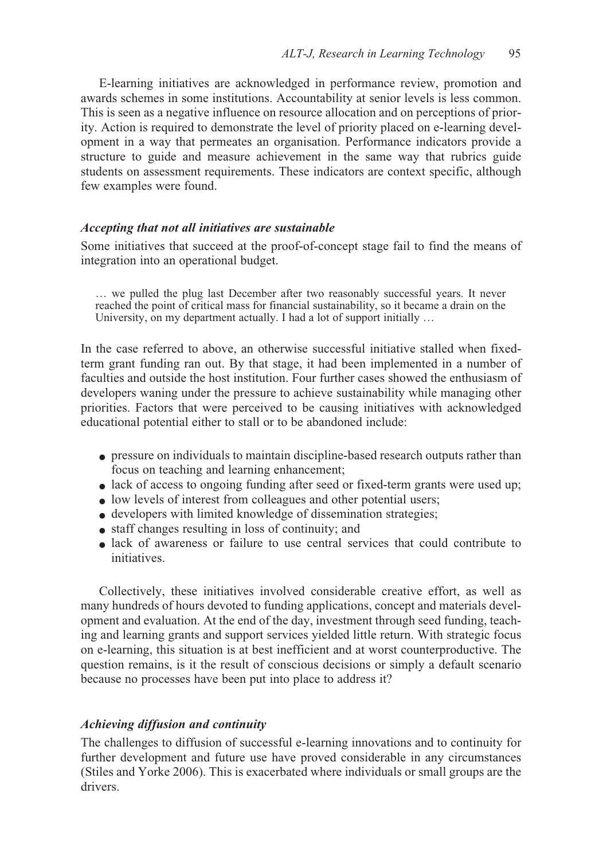E-learning initiatives are acknowledged in performance review, promotion and awards schemes in some institutions. Accountability at senior levels is less common. This is seen as a negative influence on resource allocation and on perceptions of priority. Action is required to demonstrate the level of priority placed on e-learning development in a way that permeates an organisation. Performance indicators provide a structure to guide and measure achievement in the same way that rubrics guide students on assessment requirements. These indicators are context specific, although few examples were found.

#### *Accepting that not all initiatives are sustainable*

Some initiatives that succeed at the proof-of-concept stage fail to find the means of integration into an operational budget.

… we pulled the plug last December after two reasonably successful years. It never reached the point of critical mass for financial sustainability, so it became a drain on the University, on my department actually. I had a lot of support initially …

In the case referred to above, an otherwise successful initiative stalled when fixedterm grant funding ran out. By that stage, it had been implemented in a number of faculties and outside the host institution. Four further cases showed the enthusiasm of developers waning under the pressure to achieve sustainability while managing other priorities. Factors that were perceived to be causing initiatives with acknowledged educational potential either to stall or to be abandoned include:

- pressure on individuals to maintain discipline-based research outputs rather than focus on teaching and learning enhancement;
- lack of access to ongoing funding after seed or fixed-term grants were used up;
- low levels of interest from colleagues and other potential users;
- developers with limited knowledge of dissemination strategies;
- staff changes resulting in loss of continuity; and
- lack of awareness or failure to use central services that could contribute to *initiatives*

Collectively, these initiatives involved considerable creative effort, as well as many hundreds of hours devoted to funding applications, concept and materials development and evaluation. At the end of the day, investment through seed funding, teaching and learning grants and support services yielded little return. With strategic focus on e-learning, this situation is at best inefficient and at worst counterproductive. The question remains, is it the result of conscious decisions or simply a default scenario because no processes have been put into place to address it?

#### *Achieving diffusion and continuity*

The challenges to diffusion of successful e-learning innovations and to continuity for further development and future use have proved considerable in any circumstances (Stiles and Yorke 2006). This is exacerbated where individuals or small groups are the drivers.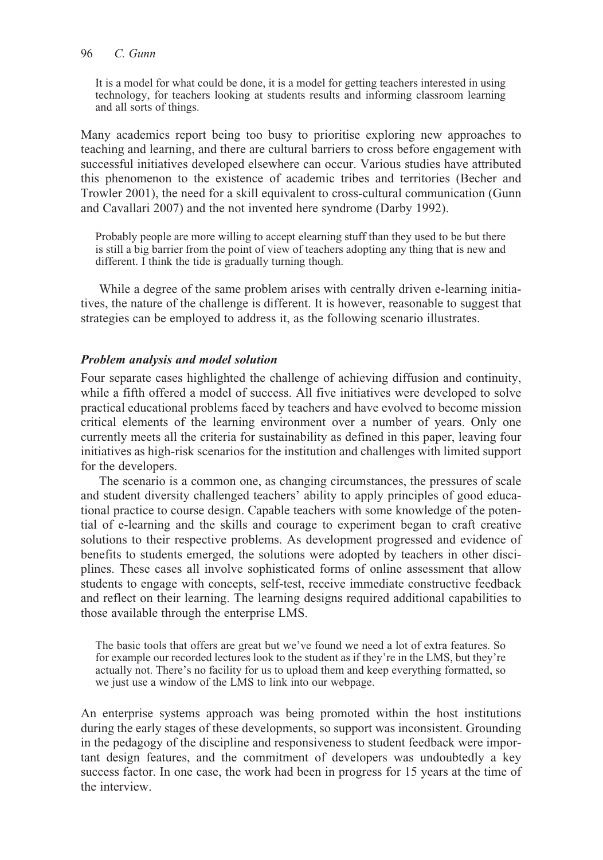#### 96 *C. Gunn*

It is a model for what could be done, it is a model for getting teachers interested in using technology, for teachers looking at students results and informing classroom learning and all sorts of things.

Many academics report being too busy to prioritise exploring new approaches to teaching and learning, and there are cultural barriers to cross before engagement with successful initiatives developed elsewhere can occur. Various studies have attributed this phenomenon to the existence of academic tribes and territories (Becher and Trowler 2001), the need for a skill equivalent to cross-cultural communication (Gunn and Cavallari 2007) and the not invented here syndrome (Darby 1992).

Probably people are more willing to accept elearning stuff than they used to be but there is still a big barrier from the point of view of teachers adopting any thing that is new and different. I think the tide is gradually turning though.

While a degree of the same problem arises with centrally driven e-learning initiatives, the nature of the challenge is different. It is however, reasonable to suggest that strategies can be employed to address it, as the following scenario illustrates.

### *Problem analysis and model solution*

Four separate cases highlighted the challenge of achieving diffusion and continuity, while a fifth offered a model of success. All five initiatives were developed to solve practical educational problems faced by teachers and have evolved to become mission critical elements of the learning environment over a number of years. Only one currently meets all the criteria for sustainability as defined in this paper, leaving four initiatives as high-risk scenarios for the institution and challenges with limited support for the developers.

The scenario is a common one, as changing circumstances, the pressures of scale and student diversity challenged teachers' ability to apply principles of good educational practice to course design. Capable teachers with some knowledge of the potential of e-learning and the skills and courage to experiment began to craft creative solutions to their respective problems. As development progressed and evidence of benefits to students emerged, the solutions were adopted by teachers in other disciplines. These cases all involve sophisticated forms of online assessment that allow students to engage with concepts, self-test, receive immediate constructive feedback and reflect on their learning. The learning designs required additional capabilities to those available through the enterprise LMS.

The basic tools that offers are great but we've found we need a lot of extra features. So for example our recorded lectures look to the student as if they're in the LMS, but they're actually not. There's no facility for us to upload them and keep everything formatted, so we just use a window of the LMS to link into our webpage.

An enterprise systems approach was being promoted within the host institutions during the early stages of these developments, so support was inconsistent. Grounding in the pedagogy of the discipline and responsiveness to student feedback were important design features, and the commitment of developers was undoubtedly a key success factor. In one case, the work had been in progress for 15 years at the time of the interview.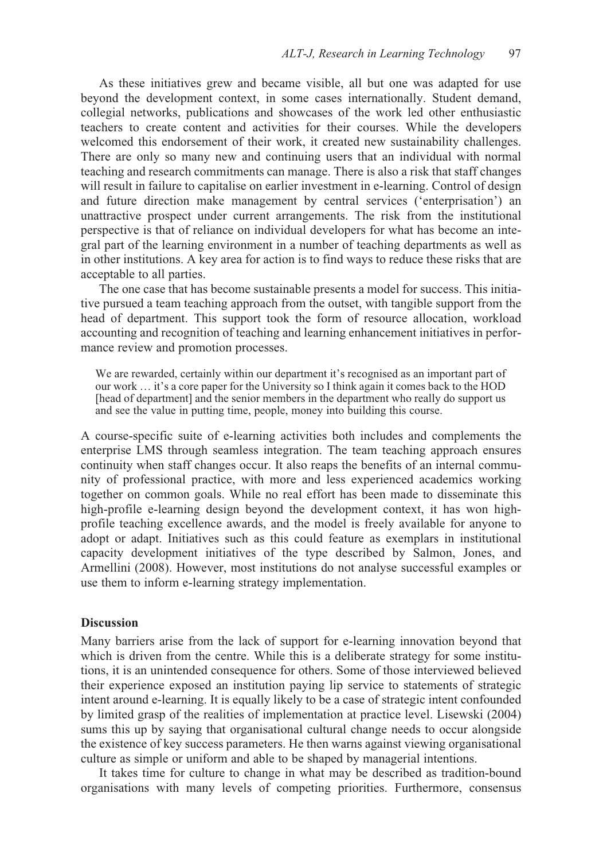As these initiatives grew and became visible, all but one was adapted for use beyond the development context, in some cases internationally. Student demand, collegial networks, publications and showcases of the work led other enthusiastic teachers to create content and activities for their courses. While the developers welcomed this endorsement of their work, it created new sustainability challenges. There are only so many new and continuing users that an individual with normal teaching and research commitments can manage. There is also a risk that staff changes will result in failure to capitalise on earlier investment in e-learning. Control of design and future direction make management by central services ('enterprisation') an unattractive prospect under current arrangements. The risk from the institutional perspective is that of reliance on individual developers for what has become an integral part of the learning environment in a number of teaching departments as well as in other institutions. A key area for action is to find ways to reduce these risks that are acceptable to all parties.

The one case that has become sustainable presents a model for success. This initiative pursued a team teaching approach from the outset, with tangible support from the head of department. This support took the form of resource allocation, workload accounting and recognition of teaching and learning enhancement initiatives in performance review and promotion processes.

We are rewarded, certainly within our department it's recognised as an important part of our work … it's a core paper for the University so I think again it comes back to the HOD [head of department] and the senior members in the department who really do support us and see the value in putting time, people, money into building this course.

A course-specific suite of e-learning activities both includes and complements the enterprise LMS through seamless integration. The team teaching approach ensures continuity when staff changes occur. It also reaps the benefits of an internal community of professional practice, with more and less experienced academics working together on common goals. While no real effort has been made to disseminate this high-profile e-learning design beyond the development context, it has won highprofile teaching excellence awards, and the model is freely available for anyone to adopt or adapt. Initiatives such as this could feature as exemplars in institutional capacity development initiatives of the type described by Salmon, Jones, and Armellini (2008). However, most institutions do not analyse successful examples or use them to inform e-learning strategy implementation.

### **Discussion**

Many barriers arise from the lack of support for e-learning innovation beyond that which is driven from the centre. While this is a deliberate strategy for some institutions, it is an unintended consequence for others. Some of those interviewed believed their experience exposed an institution paying lip service to statements of strategic intent around e-learning. It is equally likely to be a case of strategic intent confounded by limited grasp of the realities of implementation at practice level. Lisewski (2004) sums this up by saying that organisational cultural change needs to occur alongside the existence of key success parameters. He then warns against viewing organisational culture as simple or uniform and able to be shaped by managerial intentions.

It takes time for culture to change in what may be described as tradition-bound organisations with many levels of competing priorities. Furthermore, consensus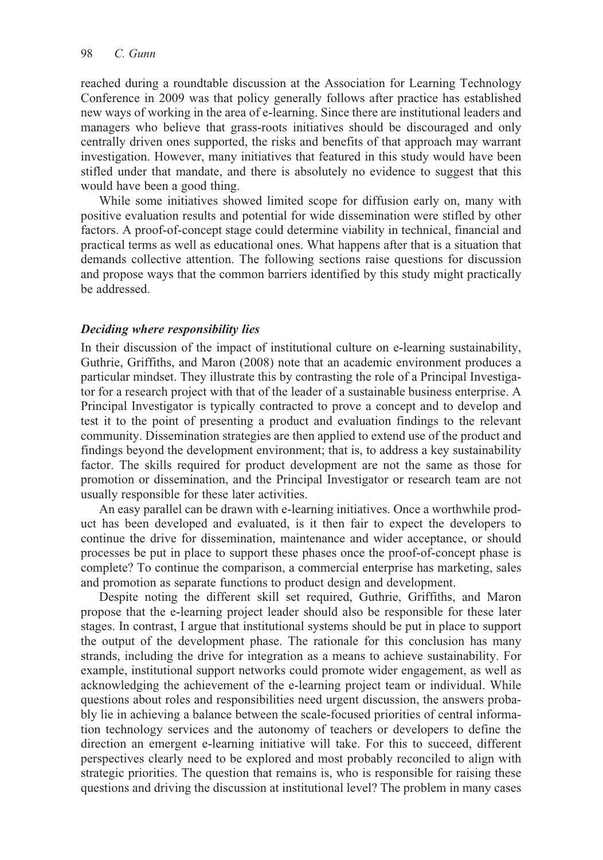reached during a roundtable discussion at the Association for Learning Technology Conference in 2009 was that policy generally follows after practice has established new ways of working in the area of e-learning. Since there are institutional leaders and managers who believe that grass-roots initiatives should be discouraged and only centrally driven ones supported, the risks and benefits of that approach may warrant investigation. However, many initiatives that featured in this study would have been stifled under that mandate, and there is absolutely no evidence to suggest that this would have been a good thing.

While some initiatives showed limited scope for diffusion early on, many with positive evaluation results and potential for wide dissemination were stifled by other factors. A proof-of-concept stage could determine viability in technical, financial and practical terms as well as educational ones. What happens after that is a situation that demands collective attention. The following sections raise questions for discussion and propose ways that the common barriers identified by this study might practically be addressed.

### *Deciding where responsibility lies*

In their discussion of the impact of institutional culture on e-learning sustainability, Guthrie, Griffiths, and Maron (2008) note that an academic environment produces a particular mindset. They illustrate this by contrasting the role of a Principal Investigator for a research project with that of the leader of a sustainable business enterprise. A Principal Investigator is typically contracted to prove a concept and to develop and test it to the point of presenting a product and evaluation findings to the relevant community. Dissemination strategies are then applied to extend use of the product and findings beyond the development environment; that is, to address a key sustainability factor. The skills required for product development are not the same as those for promotion or dissemination, and the Principal Investigator or research team are not usually responsible for these later activities.

An easy parallel can be drawn with e-learning initiatives. Once a worthwhile product has been developed and evaluated, is it then fair to expect the developers to continue the drive for dissemination, maintenance and wider acceptance, or should processes be put in place to support these phases once the proof-of-concept phase is complete? To continue the comparison, a commercial enterprise has marketing, sales and promotion as separate functions to product design and development.

Despite noting the different skill set required, Guthrie, Griffiths, and Maron propose that the e-learning project leader should also be responsible for these later stages. In contrast, I argue that institutional systems should be put in place to support the output of the development phase. The rationale for this conclusion has many strands, including the drive for integration as a means to achieve sustainability. For example, institutional support networks could promote wider engagement, as well as acknowledging the achievement of the e-learning project team or individual. While questions about roles and responsibilities need urgent discussion, the answers probably lie in achieving a balance between the scale-focused priorities of central information technology services and the autonomy of teachers or developers to define the direction an emergent e-learning initiative will take. For this to succeed, different perspectives clearly need to be explored and most probably reconciled to align with strategic priorities. The question that remains is, who is responsible for raising these questions and driving the discussion at institutional level? The problem in many cases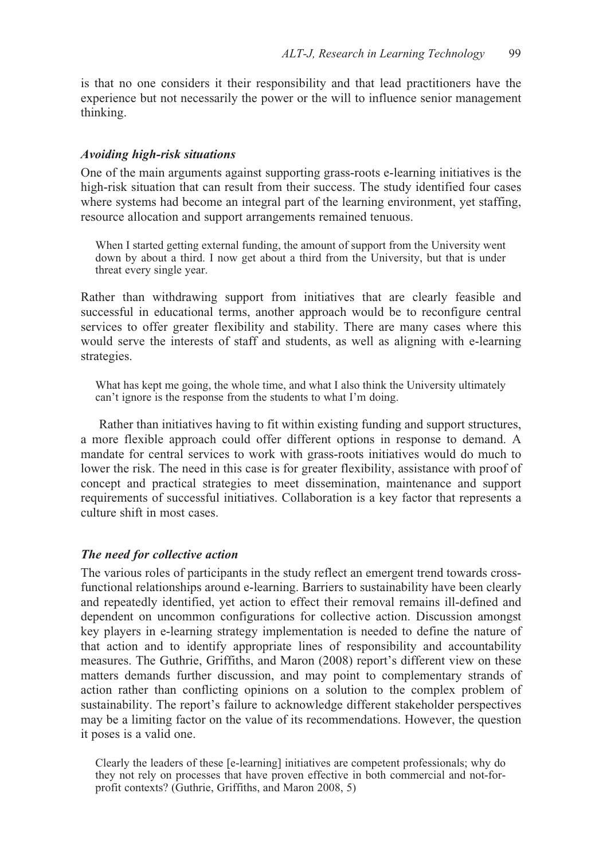is that no one considers it their responsibility and that lead practitioners have the experience but not necessarily the power or the will to influence senior management thinking.

#### *Avoiding high-risk situations*

One of the main arguments against supporting grass-roots e-learning initiatives is the high-risk situation that can result from their success. The study identified four cases where systems had become an integral part of the learning environment, yet staffing, resource allocation and support arrangements remained tenuous.

When I started getting external funding, the amount of support from the University went down by about a third. I now get about a third from the University, but that is under threat every single year.

Rather than withdrawing support from initiatives that are clearly feasible and successful in educational terms, another approach would be to reconfigure central services to offer greater flexibility and stability. There are many cases where this would serve the interests of staff and students, as well as aligning with e-learning strategies.

What has kept me going, the whole time, and what I also think the University ultimately can't ignore is the response from the students to what I'm doing.

Rather than initiatives having to fit within existing funding and support structures, a more flexible approach could offer different options in response to demand. A mandate for central services to work with grass-roots initiatives would do much to lower the risk. The need in this case is for greater flexibility, assistance with proof of concept and practical strategies to meet dissemination, maintenance and support requirements of successful initiatives. Collaboration is a key factor that represents a culture shift in most cases.

#### *The need for collective action*

The various roles of participants in the study reflect an emergent trend towards crossfunctional relationships around e-learning. Barriers to sustainability have been clearly and repeatedly identified, yet action to effect their removal remains ill-defined and dependent on uncommon configurations for collective action. Discussion amongst key players in e-learning strategy implementation is needed to define the nature of that action and to identify appropriate lines of responsibility and accountability measures. The Guthrie, Griffiths, and Maron (2008) report's different view on these matters demands further discussion, and may point to complementary strands of action rather than conflicting opinions on a solution to the complex problem of sustainability. The report's failure to acknowledge different stakeholder perspectives may be a limiting factor on the value of its recommendations. However, the question it poses is a valid one.

Clearly the leaders of these [e-learning] initiatives are competent professionals; why do they not rely on processes that have proven effective in both commercial and not-forprofit contexts? (Guthrie, Griffiths, and Maron 2008, 5)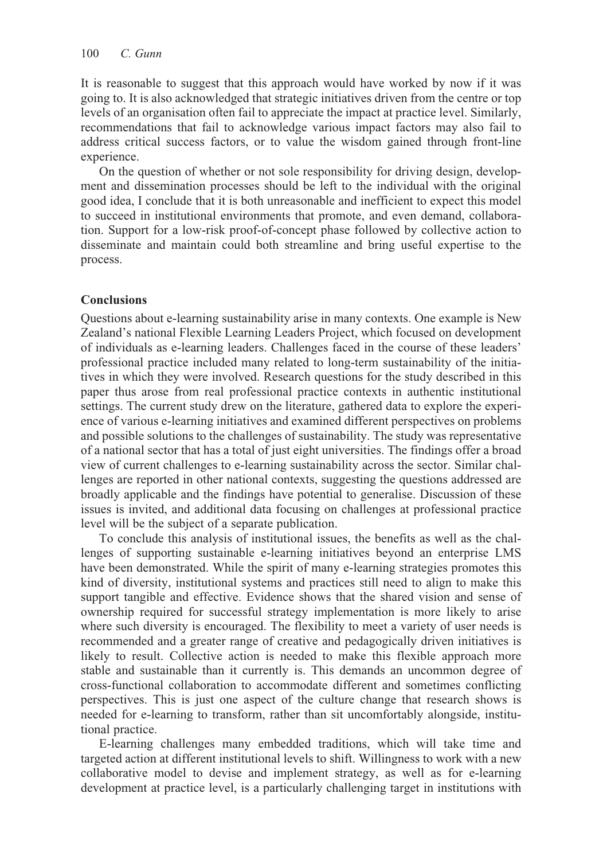It is reasonable to suggest that this approach would have worked by now if it was going to. It is also acknowledged that strategic initiatives driven from the centre or top levels of an organisation often fail to appreciate the impact at practice level. Similarly, recommendations that fail to acknowledge various impact factors may also fail to address critical success factors, or to value the wisdom gained through front-line experience.

On the question of whether or not sole responsibility for driving design, development and dissemination processes should be left to the individual with the original good idea, I conclude that it is both unreasonable and inefficient to expect this model to succeed in institutional environments that promote, and even demand, collaboration. Support for a low-risk proof-of-concept phase followed by collective action to disseminate and maintain could both streamline and bring useful expertise to the process.

### **Conclusions**

Questions about e-learning sustainability arise in many contexts. One example is New Zealand's national Flexible Learning Leaders Project, which focused on development of individuals as e-learning leaders. Challenges faced in the course of these leaders' professional practice included many related to long-term sustainability of the initiatives in which they were involved. Research questions for the study described in this paper thus arose from real professional practice contexts in authentic institutional settings. The current study drew on the literature, gathered data to explore the experience of various e-learning initiatives and examined different perspectives on problems and possible solutions to the challenges of sustainability. The study was representative of a national sector that has a total of just eight universities. The findings offer a broad view of current challenges to e-learning sustainability across the sector. Similar challenges are reported in other national contexts, suggesting the questions addressed are broadly applicable and the findings have potential to generalise. Discussion of these issues is invited, and additional data focusing on challenges at professional practice level will be the subject of a separate publication.

To conclude this analysis of institutional issues, the benefits as well as the challenges of supporting sustainable e-learning initiatives beyond an enterprise LMS have been demonstrated. While the spirit of many e-learning strategies promotes this kind of diversity, institutional systems and practices still need to align to make this support tangible and effective. Evidence shows that the shared vision and sense of ownership required for successful strategy implementation is more likely to arise where such diversity is encouraged. The flexibility to meet a variety of user needs is recommended and a greater range of creative and pedagogically driven initiatives is likely to result. Collective action is needed to make this flexible approach more stable and sustainable than it currently is. This demands an uncommon degree of cross-functional collaboration to accommodate different and sometimes conflicting perspectives. This is just one aspect of the culture change that research shows is needed for e-learning to transform, rather than sit uncomfortably alongside, institutional practice.

E-learning challenges many embedded traditions, which will take time and targeted action at different institutional levels to shift. Willingness to work with a new collaborative model to devise and implement strategy, as well as for e-learning development at practice level, is a particularly challenging target in institutions with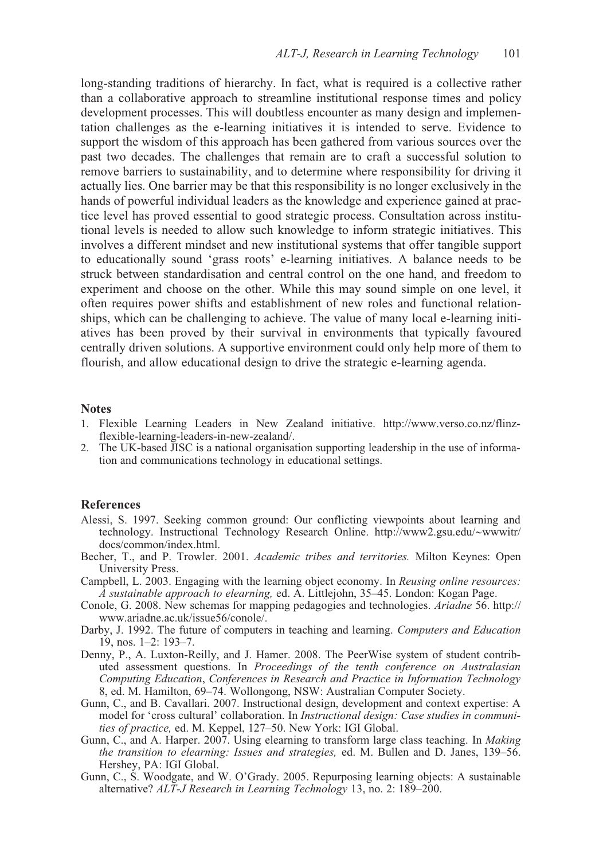long-standing traditions of hierarchy. In fact, what is required is a collective rather than a collaborative approach to streamline institutional response times and policy development processes. This will doubtless encounter as many design and implementation challenges as the e-learning initiatives it is intended to serve. Evidence to support the wisdom of this approach has been gathered from various sources over the past two decades. The challenges that remain are to craft a successful solution to remove barriers to sustainability, and to determine where responsibility for driving it actually lies. One barrier may be that this responsibility is no longer exclusively in the hands of powerful individual leaders as the knowledge and experience gained at practice level has proved essential to good strategic process. Consultation across institutional levels is needed to allow such knowledge to inform strategic initiatives. This involves a different mindset and new institutional systems that offer tangible support to educationally sound 'grass roots' e-learning initiatives. A balance needs to be struck between standardisation and central control on the one hand, and freedom to experiment and choose on the other. While this may sound simple on one level, it often requires power shifts and establishment of new roles and functional relationships, which can be challenging to achieve. The value of many local e-learning initiatives has been proved by their survival in environments that typically favoured centrally driven solutions. A supportive environment could only help more of them to flourish, and allow educational design to drive the strategic e-learning agenda.

#### **Notes**

- 1. Flexible Learning Leaders in New Zealand initiative. http://www.verso.co.nz/flinzflexible-learning-leaders-in-new-zealand/.
- 2. The UK-based JISC is a national organisation supporting leadership in the use of information and communications technology in educational settings.

#### **References**

- Alessi, S. 1997. Seeking common ground: Our conflicting viewpoints about learning and technology. Instructional Technology Research Online. http://www2.gsu.edu/∼wwwitr/ docs/common/index.html.
- Becher, T., and P. Trowler. 2001. *Academic tribes and territories.* Milton Keynes: Open University Press.
- Campbell, L. 2003. Engaging with the learning object economy. In *Reusing online resources: A sustainable approach to elearning,* ed. A. Littlejohn, 35–45. London: Kogan Page.
- Conole, G. 2008. New schemas for mapping pedagogies and technologies. *Ariadne* 56. http:// www.ariadne.ac.uk/issue56/conole/.
- Darby, J. 1992. The future of computers in teaching and learning. *Computers and Education* 19, nos. 1–2: 193–7.
- Denny, P., A. Luxton-Reilly, and J. Hamer. 2008. The PeerWise system of student contributed assessment questions. In *Proceedings of the tenth conference on Australasian Computing Education*, *Conferences in Research and Practice in Information Technology* 8, ed. M. Hamilton, 69–74. Wollongong, NSW: Australian Computer Society.
- Gunn, C., and B. Cavallari. 2007. Instructional design, development and context expertise: A model for 'cross cultural' collaboration. In *Instructional design: Case studies in communities of practice,* ed. M. Keppel, 127–50. New York: IGI Global.
- Gunn, C., and A. Harper. 2007. Using elearning to transform large class teaching. In *Making the transition to elearning: Issues and strategies,* ed. M. Bullen and D. Janes, 139–56. Hershey, PA: IGI Global.
- Gunn, C., S. Woodgate, and W. O'Grady. 2005. Repurposing learning objects: A sustainable alternative? *ALT-J Research in Learning Technology* 13, no. 2: 189–200.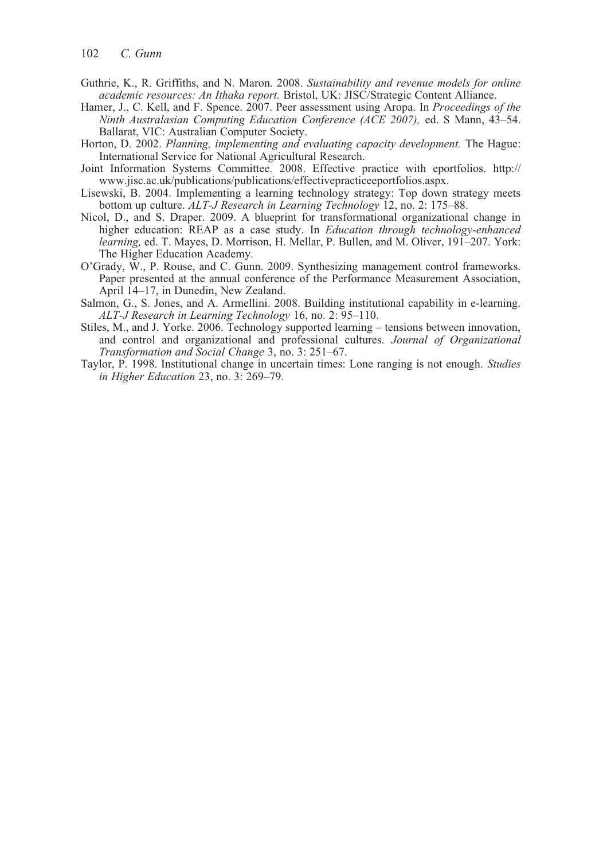- Guthrie, K., R. Griffiths, and N. Maron. 2008. *Sustainability and revenue models for online academic resources: An Ithaka report.* Bristol, UK: JISC/Strategic Content Alliance.
- Hamer, J., C. Kell, and F. Spence. 2007. Peer assessment using Aropa. In *Proceedings of the Ninth Australasian Computing Education Conference (ACE 2007),* ed. S Mann, 43–54. Ballarat, VIC: Australian Computer Society.
- Horton, D. 2002. *Planning, implementing and evaluating capacity development.* The Hague: International Service for National Agricultural Research.
- Joint Information Systems Committee. 2008. Effective practice with eportfolios. http:// www.jisc.ac.uk/publications/publications/effectivepracticeeportfolios.aspx.
- Lisewski, B. 2004. Implementing a learning technology strategy: Top down strategy meets bottom up culture. *ALT-J Research in Learning Technology* 12, no. 2: 175–88.
- Nicol, D., and S. Draper. 2009. A blueprint for transformational organizational change in higher education: REAP as a case study. In *Education through technology-enhanced learning,* ed. T. Mayes, D. Morrison, H. Mellar, P. Bullen, and M. Oliver, 191–207. York: The Higher Education Academy.
- O'Grady, W., P. Rouse, and C. Gunn. 2009. Synthesizing management control frameworks. Paper presented at the annual conference of the Performance Measurement Association, April 14–17, in Dunedin, New Zealand.
- Salmon, G., S. Jones, and A. Armellini. 2008. Building institutional capability in e-learning. *ALT-J Research in Learning Technology* 16, no. 2: 95–110.
- Stiles, M., and J. Yorke. 2006. Technology supported learning tensions between innovation, and control and organizational and professional cultures. *Journal of Organizational Transformation and Social Change* 3, no. 3: 251–67.
- Taylor, P. 1998. Institutional change in uncertain times: Lone ranging is not enough. *Studies in Higher Education* 23, no. 3: 269–79.